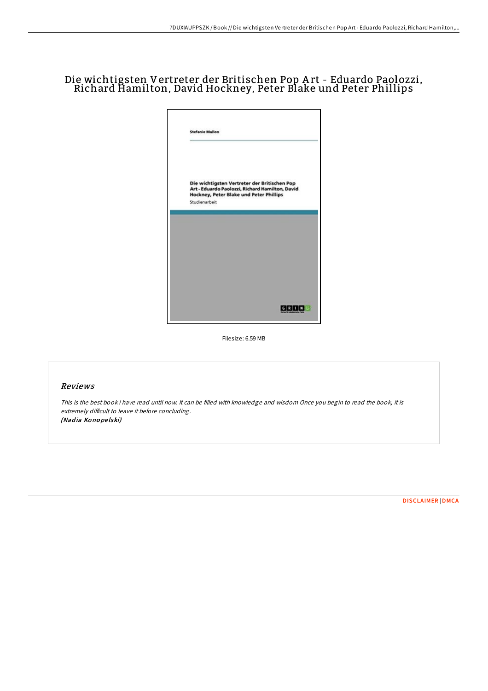# Die wichtigsten Vertreter der Britischen Pop A rt - Eduardo Paolozzi, Richard Hamilton, David Hockney, Peter Blake und Peter Phillips



Filesize: 6.59 MB

### Reviews

This is the best book i have read until now. It can be filled with knowledge and wisdom Once you begin to read the book, it is extremely difficult to leave it before concluding. (Nadia Konopelski)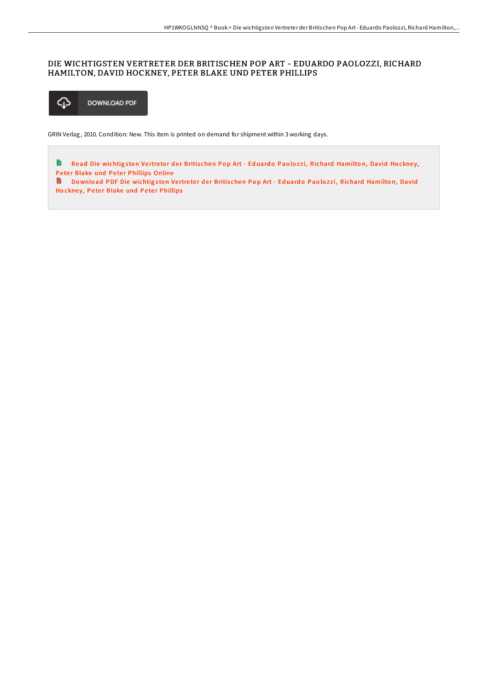## DIE WICHTIGSTEN VERTRETER DER BRITISCHEN POP ART - EDUARDO PAOLOZZI, RICHARD HAMILTON, DAVID HOCKNEY, PETER BLAKE UND PETER PHILLIPS



GRIN Verlag, 2010. Condition: New. This item is printed on demand for shipment within 3 working days.

Read Die wichtigsten Vertreter der Britischen Pop Art - Eduardo Paolozzi, Richard [Hamilto](http://almighty24.tech/die-wichtigsten-vertreter-der-britischen-pop-art.html)n, David Hockney, B Peter Blake und Peter Phillips Online

Download PDF Die wichtigsten Vertreter der Britischen Pop Art - Eduardo Paolozzi, Richard [Hamilto](http://almighty24.tech/die-wichtigsten-vertreter-der-britischen-pop-art.html)n, David Hockney, Peter Blake und Peter Phillips